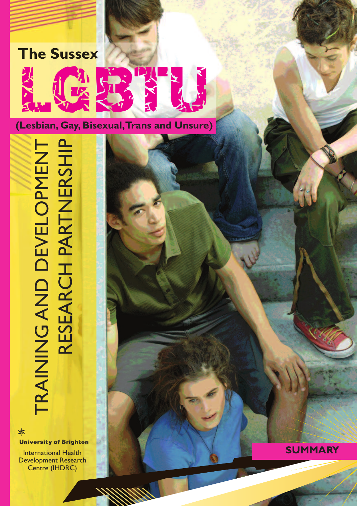

TRAINING AND DEVELOPMENT<br>RESEARCH PARTNERSHIP TRAINING AND DEVELOPMENT RESEARCH PARTNERSHIP

**University of Brighton** 

✖

International Health Development Research Centre (IHDRC)

**SUMMARY**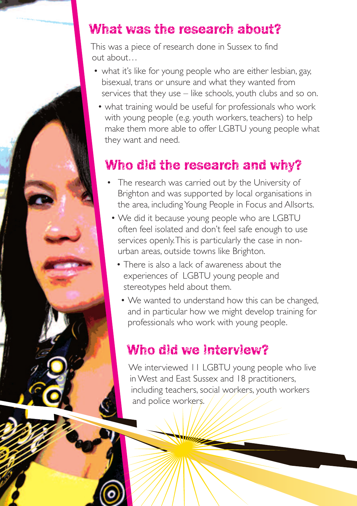### What was the research about?

This was a piece of research done in Sussex to find out about…

- what it's like for young people who are either lesbian, gay, bisexual, trans or unsure and what they wanted from services that they use – like schools, youth clubs and so on.
	- what training would be useful for professionals who work with young people (e.g. youth workers, teachers) to help make them more able to offer LGBTU young people what they want and need.

# Who did the research and why?

- The research was carried out by the University of Brighton and was supported by local organisations in the area, includingYoung People in Focus and Allsorts.
	- We did it because young people who are LGBTU often feel isolated and don't feel safe enough to use services openly.This is particularly the case in nonurban areas, outside towns like Brighton.
		- There is also a lack of awareness about the experiences of LGBTU young people and stereotypes held about them.
			- We wanted to understand how this can be changed, and in particular how we might develop training for professionals who work with young people.

### Who did we interview?

We interviewed 11 LGBTU young people who live in West and East Sussex and 18 practitioners, including teachers, social workers, youth workers and police workers.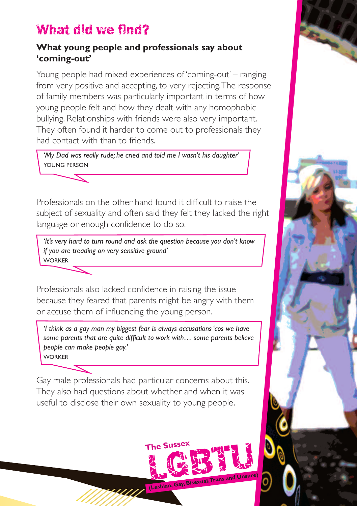### What did we find?

#### **What young people and professionals say about 'coming-out'**

Young people had mixed experiences of 'coming-out' – ranging from very positive and accepting, to very rejecting.The response of family members was particularly important in terms of how young people felt and how they dealt with any homophobic bullying. Relationships with friends were also very important. They often found it harder to come out to professionals they had contact with than to friends.

*'My Dad was really rude; he cried and told me I wasn't his daughter'* YOUNG PERSON

Professionals on the other hand found it difficult to raise the subject of sexuality and often said they felt they lacked the right language or enough confidence to do so.

*'It's very hard to turn round and ask the question because you don't know if you are treading on very sensitive ground'* WORKER

Professionals also lacked confidence in raising the issue because they feared that parents might be angry with them or accuse them of influencing the young person.

*'I think as a gay man my biggest fear is always accusations 'cos we have some parents that are quite difficult to work with… some parents believe people can make people gay.'* **WORKER** 

Gay male professionals had particular concerns about this. They also had questions about whether and when it was useful to disclose their own sexuality to young people.

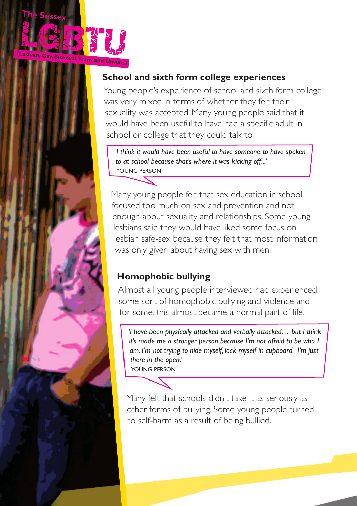

#### **School and sixth form college experiences**

Young people's experience of school and sixth form college was very mixed in terms of whether they felt their sexuality was accepted. Many young people said that it would have been useful to have had a specific adult in school or college that they could talk to.

*'I think it would have been useful to have someone to have spoken to at school because that's where it was kicking off...'* YOUNG PERSON

Many young people felt that sex education in school focused too much on sex and prevention and not enough about sexuality and relationships. Some young lesbians said they would have liked some focus on lesbian safe-sex because they felt that most information was only given about having sex with men.

### **Homophobic bullying**

Almost all young people interviewed had experienced some sort of homophobic bullying and violence and for some, this almost became a normal part of life.

*'I have been physically attacked and verbally attacked… but I think it's made me a stronger person because I'm not afraid to be who I am. I'm not trying to hide myself, lock myself in cupboard. I'm just there in the open.'*

YOUNG PERSON

Many felt that schools didn't take it as seriously as other forms of bullying. Some young people turned to self-harm as a result of being bullied.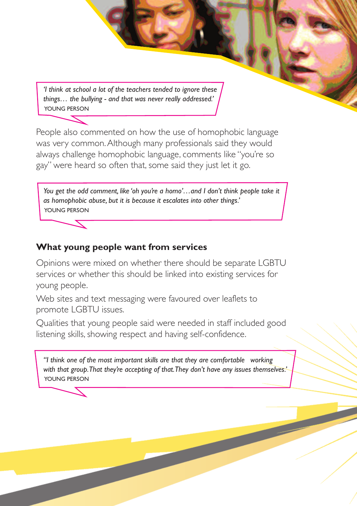*'I think at school a lot of the teachers tended to ignore these things… the bullying - and that was never really addressed.'* YOUNG PERSON

People also commented on how the use of homophobic language was very common.Although many professionals said they would always challenge homophobic language, comments like "you're so gay" were heard so often that, some said they just let it go.

*You get the odd comment, like 'oh you're a homo'…and I don't think people take it as homophobic abuse, but it is because it escalates into other things.'* YOUNG PERSON

#### **What young people want from services**

Opinions were mixed on whether there should be separate LGBTU services or whether this should be linked into existing services for young people.

Web sites and text messaging were favoured over leaflets to promote LGBTU issues.

Qualities that young people said were needed in staff included good listening skills, showing respect and having self-confidence.

*"I think one of the most important skills are that they are comfortable working with that group.That they're accepting of that.They don't have any issues themselves.'* YOUNG PERSON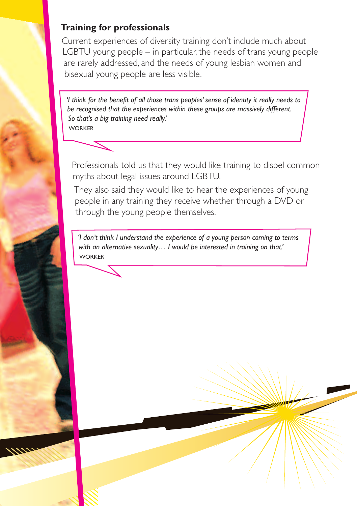#### **Training for professionals**

Current experiences of diversity training don't include much about LGBTU young people – in particular, the needs of trans young people are rarely addressed, and the needs of young lesbian women and bisexual young people are less visible.

*'I think for the benefit of all those trans peoples'sense of identity it really needs to be recognised that the experiences within these groups are massively different. So that's a big training need really.'* WORKER



Professionals told us that they would like training to dispel common myths about legal issues around LGBTU.

They also said they would like to hear the experiences of young people in any training they receive whether through a DVD or through the young people themselves.

*'I don't think I understand the experience of a young person coming to terms with an alternative sexuality… I would be interested in training on that.'* WORKER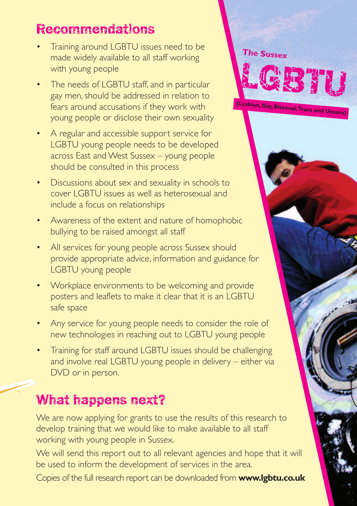## Recommendations

- Training around LGBTU issues need to be made widely available to all staff working with young people
- The needs of LGBTU staff, and in particular gay men, should be addressed in relation to fears around accusations if they work with young people or disclose their own sexuality
- A regular and accessible support service for LGBTU young people needs to be developed across East and West Sussex – young people should be consulted in this process
- Discussions about sex and sexuality in schools to cover LGBTU issues as well as heterosexual and include a focus on relationships
- Awareness of the extent and nature of homophobic bullying to be raised amongst all staff
- All services for young people across Sussex should provide appropriate advice, information and guidance for LGBTU young people
- Workplace environments to be welcoming and provide posters and leaflets to make it clear that it is an LGBTU safe space
- Any service for young people needs to consider the role of new technologies in reaching out to LGBTU young people
- Training for staff around LGBTU issues should be challenging and involve real LGBTU young people in delivery – either via DVD or in person.

# What happens next?

We are now applying for grants to use the results of this research to develop training that we would like to make available to all staff working with young people in Sussex.

We will send this report out to all relevant agencies and hope that it will be used to inform the development of services in the area.

Copies of the full research report can be downloaded from **www.lgbtu.co.uk**